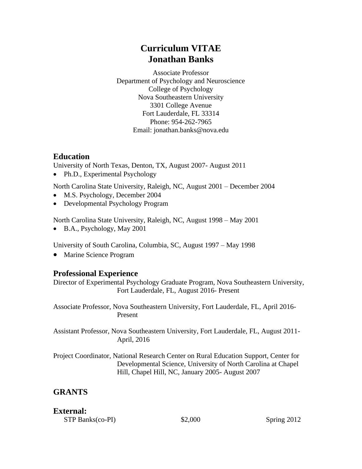# **Curriculum VITAE Jonathan Banks**

Associate Professor Department of Psychology and Neuroscience College of Psychology Nova Southeastern University 3301 College Avenue Fort Lauderdale, FL 33314 Phone: 954-262-7965 Email: jonathan.banks@nova.edu

# **Education**

University of North Texas, Denton, TX, August 2007- August 2011

• Ph.D., Experimental Psychology

North Carolina State University, Raleigh, NC, August 2001 – December 2004

- M.S. Psychology, December 2004
- Developmental Psychology Program

North Carolina State University, Raleigh, NC, August 1998 – May 2001

• B.A., Psychology, May 2001

University of South Carolina, Columbia, SC, August 1997 – May 1998

• Marine Science Program

# **Professional Experience**

Director of Experimental Psychology Graduate Program, Nova Southeastern University, Fort Lauderdale, FL, August 2016- Present

Associate Professor, Nova Southeastern University, Fort Lauderdale, FL, April 2016- Present

Assistant Professor, Nova Southeastern University, Fort Lauderdale, FL, August 2011- April, 2016

Project Coordinator, National Research Center on Rural Education Support, Center for Developmental Science, University of North Carolina at Chapel Hill, Chapel Hill, NC, January 2005- August 2007

# **GRANTS**

## **External:**

STP Banks(co-PI)  $$2,000$  Spring 2012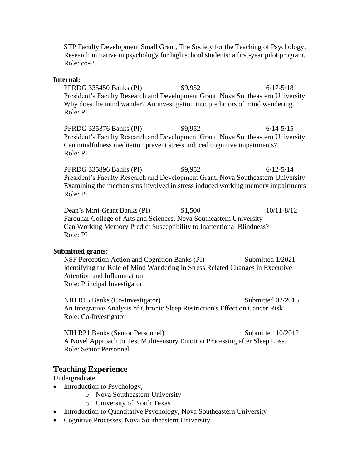STP Faculty Development Small Grant, The Society for the Teaching of Psychology, Research initiative in psychology for high school students: a first-year pilot program. Role: co-PI

#### **Internal:**

PFRDG 335450 Banks (PI) \$9,952 6/17-5/18 President's Faculty Research and Development Grant, Nova Southeastern University Why does the mind wander? An investigation into predictors of mind wandering. Role: PI

PFRDG 335376 Banks (PI) \$9,952 6/14-5/15 President's Faculty Research and Development Grant, Nova Southeastern University Can mindfulness meditation prevent stress induced cognitive impairments? Role: PI

PFRDG 335896 Banks (PI)  $$9,952$  6/12-5/14 President's Faculty Research and Development Grant, Nova Southeastern University Examining the mechanisms involved in stress induced working memory impairments Role: PI

Dean's Mini-Grant Banks (PI) \$1,500 10/11-8/12 Farquhar College of Arts and Sciences, Nova Southeastern University Can Working Memory Predict Susceptibility to Inattentional Blindness? Role: PI

#### **Submitted grants:**

NSF Perception Action and Cognition Banks (PI) Submitted 1/2021 Identifying the Role of Mind Wandering in Stress Related Changes in Executive Attention and Inflammation Role: Principal Investigator

NIH R15 Banks (Co-Investigator) Submitted 02/2015 An Integrative Analysis of Chronic Sleep Restriction's Effect on Cancer Risk Role: Co-Investigator

NIH R21 Banks (Senior Personnel) Submitted 10/2012 A Novel Approach to Test Multisensory Emotion Processing after Sleep Loss. Role: Senior Personnel

### **Teaching Experience**

Undergraduate

- Introduction to Psychology,
	- o Nova Southeastern University
	- o University of North Texas
- Introduction to Quantitative Psychology, Nova Southeastern University
- Cognitive Processes, Nova Southeastern University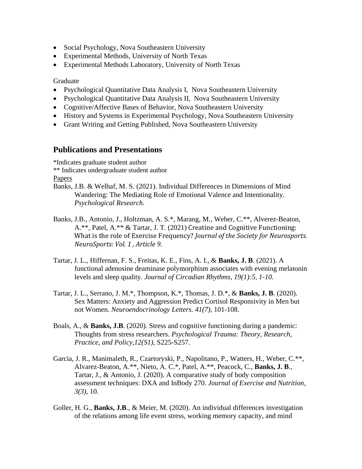- Social Psychology, Nova Southeastern University
- Experimental Methods, University of North Texas
- Experimental Methods Laboratory, University of North Texas

Graduate

- Psychological Quantitative Data Analysis I, Nova Southeastern University
- Psychological Quantitative Data Analysis II, Nova Southeastern University
- Cognitive/Affective Bases of Behavior, Nova Southeastern University
- History and Systems in Experimental Psychology, Nova Southeastern University
- Grant Writing and Getting Published, Nova Southeastern University

### **Publications and Presentations**

\*Indicates graduate student author

\*\* Indicates undergraduate student author

**Papers** 

- Banks, J.B. & Welhaf, M. S. (2021). Individual Differences in Dimensions of Mind Wandering: The Mediating Role of Emotional Valence and Intentionality. *Psychological Research.*
- Banks, J.B., Antonio, J., Holtzman, A. S.\*, Marang, M., Weber, C.\*\*, Alverez-Beaton, A.\*\*, Patel, A.\*\* & Tartar, J. T. (2021) Creatine and Cognitive Functioning: What is the role of Exercise Frequency? *Journal of the Society for Neurosports. NeuroSports: Vol. 1 , Article 9.*
- Tartar, J. L., Hiffernan, F. S., Freitas, K. E., Fins, A. I., & **Banks, J. B**. (2021). A functional adenosine deaminase polymorphism associates with evening melatonin levels and sleep quality. *Journal of Circadian Rhythms, 19(1):5, 1-10.*
- Tartar, J. L., Serrano, J. M.\*, Thompson, K.\*, Thomas, J. D.\*, & **Banks, J. B**. (2020). Sex Matters: Anxiety and Aggression Predict Cortisol Responsivity in Men but not Women. *Neuroendocrinology Letters. 41(7)*, 101-108.
- Boals, A., & **Banks, J.B**. (2020). Stress and cognitive functioning during a pandemic: Thoughts from stress researchers. *Psychological Trauma: Theory, Research, Practice, and Policy,12(S1)*, S225-S257.
- Garcia, J. R., Manimaleth, R., Czartoryski, P., Napolitano, P., Watters, H., Weber, C.\*\*, Alvarez-Beaton, A.\*\*, Nieto, A. C.\*, Patel, A.\*\*, Peacock, C., **Banks, J. B**., Tartar, J., & Antonio, J. (2020). A comparative study of body composition assessment techniques: DXA and InBody 270. *Journal of Exercise and Nutrition, 3(3)*, 10.
- Goller, H. G., **Banks, J.B**., & Meier, M. (2020). An individual differences investigation of the relations among life event stress, working memory capacity, and mind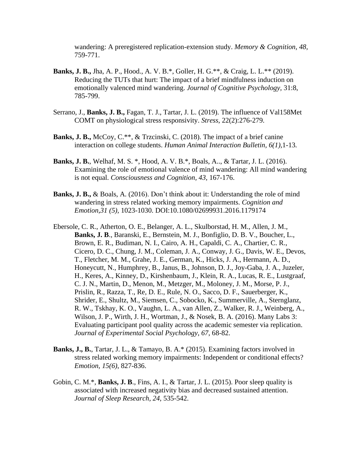wandering: A preregistered replication-extension study. *Memory & Cognition, 48,*  759-771.

- **Banks, J. B.,** Jha, A. P., Hood., A. V. B.\*, Goller, H. G.\*\*, & Craig, L. L.\*\* (2019). Reducing the TUTs that hurt: The impact of a brief mindfulness induction on emotionally valenced mind wandering. *Journal of Cognitive Psychology,* 31:8, 785-799.
- Serrano, J., **Banks, J. B.,** Fagan, T. J., Tartar, J. L. (2019). The influence of Val158Met COMT on physiological stress responsivity. *Stress*, 22(2):276-279.
- **Banks, J. B.,** McCoy, C.\*\*, & Trzcinski, C. (2018). The impact of a brief canine interaction on college students. *Human Animal Interaction Bulletin, 6(1),*1-13*.*
- **Banks, J. B.**, Welhaf, M. S. \*, Hood, A. V. B.\*, Boals, A.., & Tartar, J. L. (2016). Examining the role of emotional valence of mind wandering: All mind wandering is not equal. *Consciousness and Cognition, 43,* 167-176.
- **Banks, J. B.,** & Boals, A. (2016). Don't think about it: Understanding the role of mind wandering in stress related working memory impairments. *Cognition and Emotion,31 (5),* 1023-1030. DOI:10.1080/02699931.2016.1179174
- Ebersole, C. R., Atherton, O. E., Belanger, A. L., Skulborstad, H. M., Allen, J. M., **Banks, J. B**., Baranski, E., Bernstein, M. J., Bonfiglio, D. B. V., Boucher, L., Brown, E. R., Budiman, N. I., Cairo, A. H., Capaldi, C. A., Chartier, C. R., Cicero, D. C., Chung, J. M., Coleman, J. A., Conway, J. G., Davis, W. E., Devos, T., Fletcher, M. M., Grahe, J. E., German, K., Hicks, J. A., Hermann, A. D., Honeycutt, N., Humphrey, B., Janus, B., Johnson, D. J., Joy-Gaba, J. A., Juzeler, H., Keres, A., Kinney, D., Kirshenbaum, J., Klein, R. A., Lucas, R. E., Lustgraaf, C. J. N., Martin, D., Menon, M., Metzger, M., Moloney, J. M., Morse, P. J., Prislin, R., Razza, T., Re, D. E., Rule, N. O., Sacco, D. F., Sauerberger, K., Shrider, E., Shultz, M., Siemsen, C., Sobocko, K., Summerville, A., Sternglanz, R. W., Tskhay, K. O., Vaughn, L. A., van Allen, Z., Walker, R. J., Weinberg, A., Wilson, J. P., Wirth, J. H., Wortman, J., & Nosek, B. A. (2016). Many Labs 3: Evaluating participant pool quality across the academic semester via replication. *Journal of Experimental Social Psychology*, *67*, 68-82.
- **Banks, J., B.**, Tartar, J. L., & Tamayo, B. A.\* (2015). Examining factors involved in stress related working memory impairments: Independent or conditional effects? *Emotion, 15(6)*, 827-836.
- Gobin, C. M.\*, **Banks, J. B**., Fins, A. I., & Tartar, J. L. (2015). Poor sleep quality is associated with increased negativity bias and decreased sustained attention. *Journal of Sleep Research, 24,* 535-542.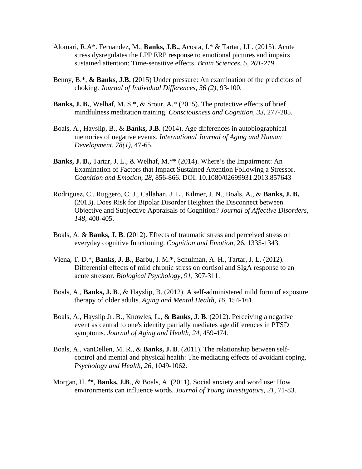- Alomari, R.A\*. Fernandez, M., **Banks, J.B.,** Acosta, J.\* & Tartar, J.L. (2015). Acute stress dysregulates the LPP ERP response to emotional pictures and impairs sustained attention: Time-sensitive effects. *Brain Sciences, 5, 201-219.*
- Benny, B.\*, **& Banks, J.B.** (2015) Under pressure: An examination of the predictors of choking. *Journal of Individual Differences, 36 (2)*, 93-100.
- **Banks, J. B.**, Welhaf, M. S.\*, & Srour, A.\* (2015). The protective effects of brief mindfulness meditation training. *Consciousness and Cognition, 33,* 277-285.
- Boals, A., Hayslip, B., & **Banks, J.B.** (2014). Age differences in autobiographical memories of negative events. *International Journal of Aging and Human Development, 78(1)*, 47-65.
- **Banks, J. B.,** Tartar, J. L., & Welhaf, M.\*\* (2014). Where's the Impairment: An Examination of Factors that Impact Sustained Attention Following a Stressor. *Cognition and Emotion, 28,* 856-866. DOI: 10.1080/02699931.2013.857643
- Rodriguez, C., Ruggero, C. J., Callahan, J. L., Kilmer, J. N., Boals, A., & **Banks, J. B.** (2013). Does Risk for Bipolar Disorder Heighten the Disconnect between Objective and Subjective Appraisals of Cognition? *Journal of Affective Disorders, 148*, 400-405.
- Boals, A. & **Banks, J. B**. (2012). Effects of traumatic stress and perceived stress on everyday cognitive functioning. *Cognition and Emotion,* 26, 1335-1343.
- Viena, T. D.\*, **Banks, J. B.**, Barbu, I. M.**\***, Schulman, A. H., Tartar, J. L. (2012). Differential effects of mild chronic stress on cortisol and SIgA response to an acute stressor. *Biological Psychology, 91*, 307-311.
- Boals, A., **Banks, J. B**., & Hayslip, B. (2012). A self-administered mild form of exposure therapy of older adults. *Aging and Mental Health, 16,* 154-161.
- Boals, A., Hayslip Jr. B., Knowles, L., & **Banks, J. B**. (2012). Perceiving a negative event as central to one's identity partially mediates age differences in PTSD symptoms. *Journal of Aging and Health, 24*, 459-474.
- Boals, A., vanDellen, M. R., & **Banks, J. B**. (2011). The relationship between selfcontrol and mental and physical health: The mediating effects of avoidant coping. *Psychology and Health, 26,* 1049-1062.
- Morgan, H. \*\*, **Banks, J.B**., & Boals, A. (2011). Social anxiety and word use: How environments can influence words. *Journal of Young Investigators, 21,* 71-83.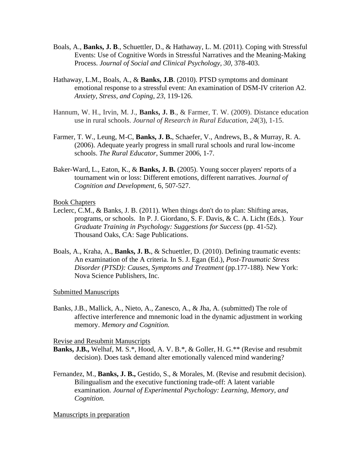- Boals, A., **Banks, J. B**., Schuettler, D., & Hathaway, L. M. (2011). Coping with Stressful Events: Use of Cognitive Words in Stressful Narratives and the Meaning-Making Process. *Journal of Social and Clinical Psychology, 30,* 378-403.
- Hathaway, L.M., Boals, A., & **Banks, J.B**. (2010). PTSD symptoms and dominant emotional response to a stressful event: An examination of DSM-IV criterion A2. *Anxiety, Stress, and Coping*, *23*, 119-126.
- Hannum, W. H., Irvin, M. J., **Banks, J. B**., & Farmer, T. W. (2009). Distance education use in rural schools. *Journal of Research in Rural Education, 24*(3), 1-15.
- Farmer, T. W., Leung, M-C, **Banks, J. B.**, Schaefer, V., Andrews, B., & Murray, R. A. (2006). Adequate yearly progress in small rural schools and rural low-income schools. *The Rural Educator*, Summer 2006, 1-7.
- Baker-Ward, L., Eaton, K., & **Banks, J. B.** (2005). Young soccer players' reports of a tournament win or loss: Different emotions, different narratives. *Journal of Cognition and Development*, 6, 507-527.

#### Book Chapters

- Leclerc, C.M., & Banks, J. B. (2011). When things don't do to plan: Shifting areas, programs, or schools. In P. J. Giordano, S. F. Davis, & C. A. Licht (Eds.). *Your Graduate Training in Psychology: Suggestions for Success* (pp. 41-52). Thousand Oaks, CA: Sage Publications.
- Boals, A., Kraha, A., **Banks, J. B.**, & Schuettler, D. (2010). Defining traumatic events: An examination of the A criteria. In S. J. Egan (Ed.), *Post-Traumatic Stress Disorder (PTSD): Causes, Symptoms and Treatment* (pp.177-188)*.* New York: Nova Science Publishers, Inc.

Submitted Manuscripts

Banks, J.B., Mallick, A., Nieto, A., Zanesco, A., & Jha, A. (submitted) The role of affective interference and mnemonic load in the dynamic adjustment in working memory. *Memory and Cognition.*

Revise and Resubmit Manuscripts

- **Banks, J.B.,** Welhaf, M. S.\*, Hood, A. V. B.\*, & Goller, H. G.\*\* (Revise and resubmit decision). Does task demand alter emotionally valenced mind wandering?
- Fernandez, M., **Banks, J. B.,** Gestido, S., & Morales, M. (Revise and resubmit decision). Bilingualism and the executive functioning trade-off: A latent variable examination. *Journal of Experimental Psychology: Learning, Memory, and Cognition.*

#### Manuscripts in preparation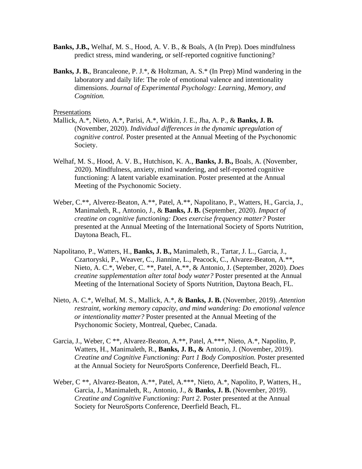- **Banks, J.B.,** Welhaf, M. S., Hood, A. V. B., & Boals, A (In Prep). Does mindfulness predict stress, mind wandering, or self-reported cognitive functioning?
- **Banks, J. B.**, Brancaleone, P. J.\*, & Holtzman, A. S.\* (In Prep) Mind wandering in the laboratory and daily life: The role of emotional valence and intentionality dimensions. *Journal of Experimental Psychology: Learning, Memory, and Cognition.*

#### Presentations

- Mallick, A.\*, Nieto, A.\*, Parisi, A.\*, Witkin, J. E., Jha, A. P., & **Banks, J. B.** (November, 2020). *Individual differences in the dynamic upregulation of cognitive control.* Poster presented at the Annual Meeting of the Psychonomic Society.
- Welhaf, M. S., Hood, A. V. B., Hutchison, K. A., **Banks, J. B.,** Boals, A. (November, 2020). Mindfulness, anxiety, mind wandering, and self-reported cognitive functioning: A latent variable examination. Poster presented at the Annual Meeting of the Psychonomic Society.
- Weber, C.\*\*, Alverez-Beaton, A.\*\*, Patel, A.\*\*, Napolitano, P., Watters, H., Garcia, J., Manimaleth, R., Antonio, J., & **Banks, J. B.** (September, 2020). *Impact of creatine on cognitive functioning: Does exercise frequency matter?* Poster presented at the Annual Meeting of the International Society of Sports Nutrition, Daytona Beach, FL.
- Napolitano, P., Watters, H., **Banks, J. B.,** Manimaleth, R., Tartar, J. L., Garcia, J., Czartoryski, P., Weaver, C., Jiannine, L., Peacock, C., Alvarez-Beaton, A.\*\*, Nieto, A. C.\*, Weber, C. \*\*, Patel, A.\*\*, & Antonio, J. (September, 2020). *Does creatine supplementation alter total body water?* Poster presented at the Annual Meeting of the International Society of Sports Nutrition, Daytona Beach, FL.
- Nieto, A. C.\*, Welhaf, M. S., Mallick, A.\*, & **Banks, J. B.** (November, 2019). *Attention restraint, working memory capacity, and mind wandering: Do emotional valence or intentionality matter?* Poster presented at the Annual Meeting of the Psychonomic Society, Montreal, Quebec, Canada.
- Garcia, J., Weber, C \*\*, Alvarez-Beaton, A.\*\*, Patel, A.\*\*\*, Nieto, A.\*, Napolito, P, Watters, H., Manimaleth, R., **Banks, J. B., &** Antonio, J. (November, 2019). *Creatine and Cognitive Functioning: Part 1 Body Composition.* Poster presented at the Annual Society for NeuroSports Conference, Deerfield Beach, FL.
- Weber, C \*\*, Alvarez-Beaton, A.\*\*, Patel, A.\*\*\*, Nieto, A.\*, Napolito, P, Watters, H., Garcia, J., Manimaleth, R., Antonio, J., & **Banks, J. B.** (November, 2019). *Creatine and Cognitive Functioning: Part 2*. Poster presented at the Annual Society for NeuroSports Conference, Deerfield Beach, FL.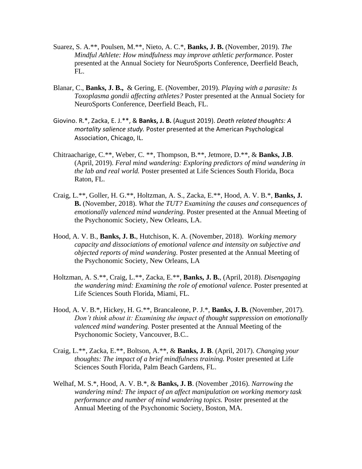- Suarez, S. A.\*\*, Poulsen, M.\*\*, Nieto, A. C.\*, **Banks, J. B.** (November, 2019). *The Mindful Athlete: How mindfulness may improve athletic performance*. Poster presented at the Annual Society for NeuroSports Conference, Deerfield Beach, FL.
- Blanar, C., **Banks, J. B.,** & Gering, E. (November, 2019). *Playing with a parasite: Is Toxoplasma gondii affecting athletes?* Poster presented at the Annual Society for NeuroSports Conference, Deerfield Beach, FL.
- Giovino. R.\*, Zacka, E. J.\*\*, & **Banks, J. B.** (August 2019). *Death related thoughts: A mortality salience study.* Poster presented at the American Psychological Association, Chicago, IL.
- Chitraacharige, C.\*\*, Weber, C. \*\*, Thompson, B.\*\*, Jetmore, D.\*\*, & **Banks, J.B**. (April, 2019). *Feral mind wandering: Exploring predictors of mind wandering in the lab and real world.* Poster presented at Life Sciences South Florida, Boca Raton, FL.
- Craig, L.\*\*, Goller, H. G.\*\*, Holtzman, A. S., Zacka, E.\*\*, Hood, A. V. B.\*, **Banks, J. B.** (November, 2018). *What the TUT? Examining the causes and consequences of emotionally valenced mind wandering*. Poster presented at the Annual Meeting of the Psychonomic Society, New Orleans, LA.
- Hood, A. V. B., **Banks, J. B.**, Hutchison, K. A. (November, 2018). *Working memory capacity and dissociations of emotional valence and intensity on subjective and objected reports of mind wandering.* Poster presented at the Annual Meeting of the Psychonomic Society, New Orleans, LA
- Holtzman, A. S.\*\*, Craig, L.\*\*, Zacka, E.\*\*, **Banks, J. B.**, (April, 2018). *Disengaging the wandering mind: Examining the role of emotional valence.* Poster presented at Life Sciences South Florida, Miami, FL.
- Hood, A. V. B.\*, Hickey, H. G.\*\*, Brancaleone, P. J.\*, **Banks, J. B.** (November, 2017). *Don't think about it: Examining the impact of thought suppression on emotionally valenced mind wandering.* Poster presented at the Annual Meeting of the Psychonomic Society, Vancouver, B.C..
- Craig, L.\*\*, Zacka, E.\*\*, Boltson, A.\*\*, & **Banks, J. B**. (April, 2017). *Changing your thoughts: The impact of a brief mindfulness training.* Poster presented at Life Sciences South Florida, Palm Beach Gardens, FL.
- Welhaf, M. S.\*, Hood, A. V. B.\*, & **Banks, J. B**. (November ,2016). *Narrowing the wandering mind: The impact of an affect manipulation on working memory task performance and number of mind wandering topics.* Poster presented at the Annual Meeting of the Psychonomic Society, Boston, MA.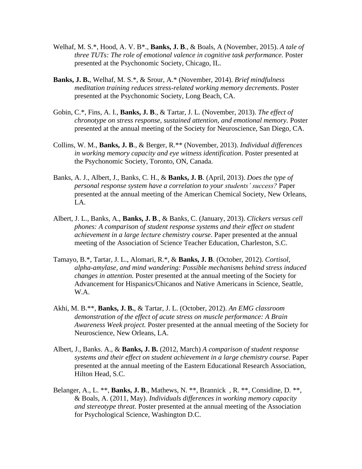- Welhaf, M. S.\*, Hood, A. V. B\*., **Banks, J. B**., & Boals, A (November, 2015). *A tale of three TUTs: The role of emotional valence in cognitive task performance.* Poster presented at the Psychonomic Society, Chicago, IL.
- **Banks, J. B.**, Welhaf, M. S.\*, & Srour, A.\* (November, 2014). *Brief mindfulness meditation training reduces stress-related working memory decrements*. Poster presented at the Psychonomic Society, Long Beach, CA.
- Gobin, C.\*, Fins, A. I., **Banks, J. B**., & Tartar, J. L. (November, 2013). *The effect of chronotype on stress response, sustained attention, and emotional memory.* Poster presented at the annual meeting of the Society for Neuroscience, San Diego, CA.
- Collins, W. M., **Banks, J. B**., & Berger, R.\*\* (November, 2013). *Individual differences in working memory capacity and eye witness identification*. Poster presented at the Psychonomic Society, Toronto, ON, Canada.
- Banks, A. J., Albert, J., Banks, C. H., & **Banks, J. B**. (April, 2013). *Does the type of personal response system have a correlation to your students' success?* Paper presented at the annual meeting of the American Chemical Society, New Orleans, LA.
- Albert, J. L., Banks, A., **Banks, J. B**., & Banks, C. (January, 2013). *Clickers versus cell phones: A comparison of student response systems and their effect on student achievement in a large lecture chemistry course*. Paper presented at the annual meeting of the Association of Science Teacher Education, Charleston, S.C.
- Tamayo, B.\*, Tartar, J. L., Alomari, R.\*, & **Banks, J. B**. (October, 2012). *Cortisol, alpha-amylase, and mind wandering: Possible mechanisms behind stress induced changes in attention.* Poster presented at the annual meeting of the Society for Advancement for Hispanics/Chicanos and Native Americans in Science, Seattle, W.A.
- Akhi, M. B.\*\*, **Banks, J. B.**, & Tartar, J. L. (October, 2012). *An EMG classroom demonstration of the effect of acute stress on muscle performance: A Brain Awareness Week project.* Poster presented at the annual meeting of the Society for Neuroscience, New Orleans, LA.
- Albert, J., Banks. A., & **Banks, J. B.** (2012, March) *A comparison of student response systems and their effect on student achievement in a large chemistry course*. Paper presented at the annual meeting of the Eastern Educational Research Association, Hilton Head, S.C.
- Belanger, A., L. \*\*, **Banks, J. B**., Mathews, N. \*\*, Brannick , R. \*\*, Considine, D. \*\*, & Boals, A. (2011, May). *Individuals differences in working memory capacity and stereotype threat*. Poster presented at the annual meeting of the Association for Psychological Science, Washington D.C.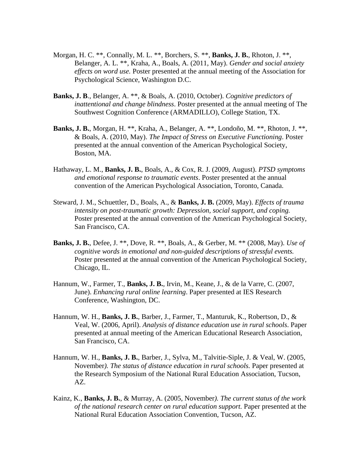- Morgan, H. C. \*\*, Connally, M. L. \*\*, Borchers, S. \*\*, **Banks, J. B.**, Rhoton, J. \*\*, Belanger, A. L. \*\*, Kraha, A., Boals, A. (2011, May). *Gender and social anxiety effects on word use.* Poster presented at the annual meeting of the Association for Psychological Science, Washington D.C.
- **Banks, J. B**., Belanger, A. \*\*, & Boals, A. (2010, October). *Cognitive predictors of inattentional and change blindness*. Poster presented at the annual meeting of The Southwest Cognition Conference (ARMADILLO), College Station, TX.
- **Banks, J. B.**, Morgan, H. \*\*, Kraha, A., Belanger, A. \*\*, Londoño, M. \*\*, Rhoton, J. \*\*, & Boals, A. (2010, May). *The Impact of Stress on Executive Functioning*. Poster presented at the annual convention of the American Psychological Society, Boston, MA.
- Hathaway, L. M., **Banks, J. B.**, Boals, A., & Cox, R. J. (2009, August). *PTSD symptoms and emotional response to traumatic events*. Poster presented at the annual convention of the American Psychological Association, Toronto, Canada.
- Steward, J. M., Schuettler, D., Boals, A., & **Banks, J. B.** (2009, May). *Effects of trauma intensity on post-traumatic growth: Depression, social support, and coping.* Poster presented at the annual convention of the American Psychological Society, San Francisco, CA.
- **Banks, J. B.**, Defee, J. \*\*, Dove, R. \*\*, Boals, A., & Gerber, M. \*\* (2008, May). *Use of cognitive words in emotional and non-guided descriptions of stressful events.* Poster presented at the annual convention of the American Psychological Society, Chicago, IL.
- Hannum, W., Farmer, T., **Banks, J. B.**, Irvin, M., Keane, J., & de la Varre, C. (2007, June). *Enhancing rural online learning*. Paper presented at IES Research Conference, Washington, DC.
- Hannum, W. H., **Banks, J. B.**, Barber, J., Farmer, T., Manturuk, K., Robertson, D., & Veal, W. (2006, April). *Analysis of distance education use in rural schools*. Paper presented at annual meeting of the American Educational Research Association, San Francisco, CA.
- Hannum, W. H., **Banks, J. B.**, Barber, J., Sylva, M., Talvitie-Siple, J. & Veal, W. (2005, November*). The status of distance education in rural schools.* Paper presented at the Research Symposium of the National Rural Education Association, Tucson, AZ.
- Kainz, K., **Banks, J. B.**, & Murray, A. (2005, November*). The current status of the work of the national research center on rural education support.* Paper presented at the National Rural Education Association Convention, Tucson, AZ.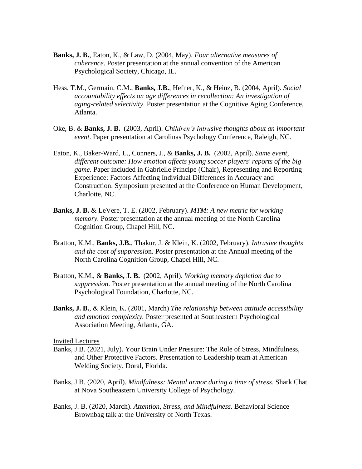- **Banks, J. B.**, Eaton, K., & Law, D. (2004, May). *Four alternative measures of coherence*. Poster presentation at the annual convention of the American Psychological Society, Chicago, IL.
- Hess, T.M., Germain, C.M., **Banks, J.B.**, Hefner, K., & Heinz, B. (2004, April). *Social accountability effects on age differences in recollection: An investigation of aging-related selectivity*. Poster presentation at the Cognitive Aging Conference, Atlanta.
- Oke, B. & **Banks, J. B.** (2003, April). *Children's intrusive thoughts about an important event*. Paper presentation at Carolinas Psychology Conference, Raleigh, NC.
- Eaton, K., Baker-Ward, L., Conners, J., & **Banks, J. B.** (2002, April). *Same event, different outcome: How emotion affects young soccer players' reports of the big game*. Paper included in Gabrielle Principe (Chair), Representing and Reporting Experience: Factors Affecting Individual Differences in Accuracy and Construction. Symposium presented at the Conference on Human Development, Charlotte, NC.
- **Banks, J. B.** & LeVere, T. E. (2002, February). *MTM: A new metric for working memory.* Poster presentation at the annual meeting of the North Carolina Cognition Group, Chapel Hill, NC.
- Bratton, K.M., **Banks, J.B.**, Thakur, J. & Klein, K. (2002, February). *Intrusive thoughts and the cost of suppressio*n. Poster presentation at the Annual meeting of the North Carolina Cognition Group, Chapel Hill, NC.
- Bratton, K.M., & **Banks, J. B.** (2002, April). *Working memory depletion due to suppression*. Poster presentation at the annual meeting of the North Carolina Psychological Foundation, Charlotte, NC.
- **Banks, J. B.**, & Klein, K. (2001, March) *The relationship [between attitude accessibility](http://www4.ncsu.edu/unity/users/k/kklein/www/html/sepabanks.htm)  [and emotion complexity.](http://www4.ncsu.edu/unity/users/k/kklein/www/html/sepabanks.htm)* Poster presented at Southeastern Psychological Association Meeting, Atlanta, GA.

#### Invited Lectures

- Banks, J.B. (2021, July). Your Brain Under Pressure: The Role of Stress, Mindfulness, and Other Protective Factors. Presentation to Leadership team at American Welding Society, Doral, Florida.
- Banks, J.B. (2020, April). *Mindfulness: Mental armor during a time of stress*. Shark Chat at Nova Southeastern University College of Psychology.
- Banks, J. B. (2020, March). *Attention, Stress, and Mindfulness.* Behavioral Science Brownbag talk at the University of North Texas.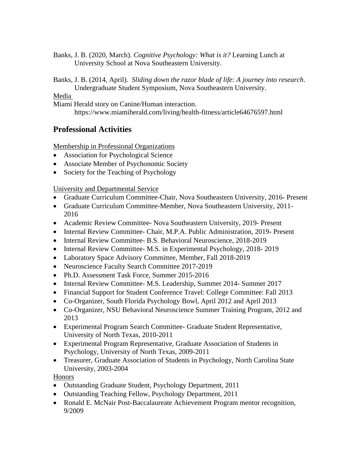Banks, J. B. (2020, March). *Cognitive Psychology: What is it?* Learning Lunch at University School at Nova Southeastern University.

Banks, J. B. (2014, April). *Sliding down the razor blade of life: A journey into research*. Undergraduate Student Symposium, Nova Southeastern University.

### Media

Miami Herald story on Canine/Human interaction.

https://www.miamiherald.com/living/health-fitness/article64676597.html

# **Professional Activities**

Membership in Professional Organizations

- Association for Psychological Science
- Associate Member of Psychonomic Society
- Society for the Teaching of Psychology

### University and Departmental Service

- Graduate Curriculum Committee-Chair, Nova Southeastern University, 2016- Present
- Graduate Curriculum Committee-Member, Nova Southeastern University, 2011- 2016
- Academic Review Committee- Nova Southeastern University, 2019- Present
- Internal Review Committee- Chair, M.P.A. Public Administration, 2019- Present
- Internal Review Committee- B.S. Behavioral Neuroscience, 2018-2019
- Internal Review Committee- M.S. in Experimental Psychology, 2018-2019
- Laboratory Space Advisory Committee, Member, Fall 2018-2019
- Neuroscience Faculty Search Committee 2017-2019
- Ph.D. Assessment Task Force, Summer 2015-2016
- Internal Review Committee- M.S. Leadership, Summer 2014- Summer 2017
- Financial Support for Student Conference Travel: College Committee: Fall 2013
- Co-Organizer, South Florida Psychology Bowl, April 2012 and April 2013
- Co-Organizer, NSU Behavioral Neuroscience Summer Training Program, 2012 and 2013
- Experimental Program Search Committee- Graduate Student Representative, University of North Texas, 2010-2011
- Experimental Program Representative, Graduate Association of Students in Psychology, University of North Texas, 2009-2011
- Treasurer, Graduate Association of Students in Psychology, North Carolina State University, 2003-2004

Honors

- Outstanding Graduate Student, Psychology Department, 2011
- Outstanding Teaching Fellow, Psychology Department, 2011
- Ronald E. McNair Post-Baccalaureate Achievement Program mentor recognition, 9/2009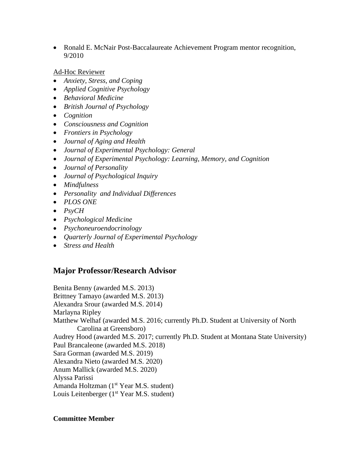• Ronald E. McNair Post-Baccalaureate Achievement Program mentor recognition, 9/2010

Ad-Hoc Reviewer

- *Anxiety, Stress, and Coping*
- *Applied Cognitive Psychology*
- *Behavioral Medicine*
- *British Journal of Psychology*
- *Cognition*
- *Consciousness and Cognition*
- *Frontiers in Psychology*
- *Journal of Aging and Health*
- *Journal of Experimental Psychology: General*
- *Journal of Experimental Psychology: Learning, Memory, and Cognition*
- *Journal of Personality*
- *Journal of Psychological Inquiry*
- *Mindfulness*
- *Personality and Individual Differences*
- *PLOS ONE*
- *PsyCH*
- *Psychological Medicine*
- *Psychoneuroendocrinology*
- *Quarterly Journal of Experimental Psychology*
- *Stress and Health*

## **Major Professor/Research Advisor**

Benita Benny (awarded M.S. 2013) Brittney Tamayo (awarded M.S. 2013) Alexandra Srour (awarded M.S. 2014) Marlayna Ripley Matthew Welhaf (awarded M.S. 2016; currently Ph.D. Student at University of North Carolina at Greensboro) Audrey Hood (awarded M.S. 2017; currently Ph.D. Student at Montana State University) Paul Brancaleone (awarded M.S. 2018) Sara Gorman (awarded M.S. 2019) Alexandra Nieto (awarded M.S. 2020) Anum Mallick (awarded M.S. 2020) Alyssa Parissi Amanda Holtzman (1<sup>st</sup> Year M.S. student) Louis Leitenberger (1<sup>st</sup> Year M.S. student)

### **Committee Member**